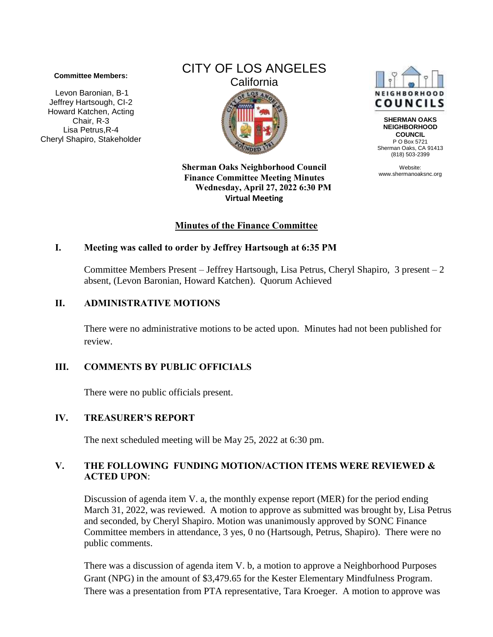#### **Committee Members:**

Levon Baronian, B-1 Jeffrey Hartsough, CI-2 Howard Katchen, Acting Chair, R-3 Lisa Petrus,R-4 Cheryl Shapiro, Stakeholder

# CITY OF LOS ANGELES **California**  $LOS$

NEIGHBORHOOD **COUNCILS** 

**SHERMAN OAKS NEIGHBORHOOD COUNCIL** P O Box 5721 Sherman Oaks, CA 91413 (818) 503-2399

Website: www.shermanoaksnc.org

**Sherman Oaks Neighborhood Council Finance Committee Meeting Minutes Wednesday, April 27, 2022 6:30 PM Virtual Meeting** 

#### **Minutes of the Finance Committee**

#### **I. Meeting was called to order by Jeffrey Hartsough at 6:35 PM**

Committee Members Present – Jeffrey Hartsough, Lisa Petrus, Cheryl Shapiro, 3 present – 2 absent, (Levon Baronian, Howard Katchen). Quorum Achieved

#### **II. ADMINISTRATIVE MOTIONS**

There were no administrative motions to be acted upon. Minutes had not been published for review.

### **III. COMMENTS BY PUBLIC OFFICIALS**

There were no public officials present.

#### **IV. TREASURER'S REPORT**

The next scheduled meeting will be May 25, 2022 at 6:30 pm.

#### **V. THE FOLLOWING FUNDING MOTION/ACTION ITEMS WERE REVIEWED & ACTED UPON**:

Discussion of agenda item V. a, the monthly expense report (MER) for the period ending March 31, 2022, was reviewed. A motion to approve as submitted was brought by, Lisa Petrus and seconded, by Cheryl Shapiro. Motion was unanimously approved by SONC Finance Committee members in attendance, 3 yes, 0 no (Hartsough, Petrus, Shapiro). There were no public comments.

There was a discussion of agenda item V. b, a motion to approve a Neighborhood Purposes Grant (NPG) in the amount of \$3,479.65 for the Kester Elementary Mindfulness Program. There was a presentation from PTA representative, Tara Kroeger. A motion to approve was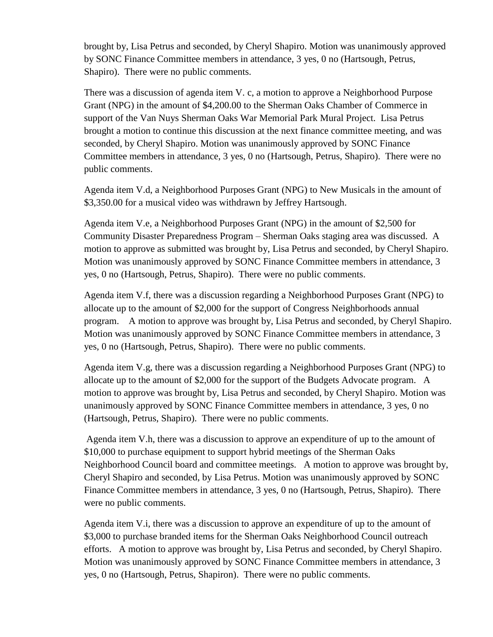brought by, Lisa Petrus and seconded, by Cheryl Shapiro. Motion was unanimously approved by SONC Finance Committee members in attendance, 3 yes, 0 no (Hartsough, Petrus, Shapiro). There were no public comments.

There was a discussion of agenda item V. c, a motion to approve a Neighborhood Purpose Grant (NPG) in the amount of \$4,200.00 to the Sherman Oaks Chamber of Commerce in support of the Van Nuys Sherman Oaks War Memorial Park Mural Project. Lisa Petrus brought a motion to continue this discussion at the next finance committee meeting, and was seconded, by Cheryl Shapiro. Motion was unanimously approved by SONC Finance Committee members in attendance, 3 yes, 0 no (Hartsough, Petrus, Shapiro). There were no public comments.

Agenda item V.d, a Neighborhood Purposes Grant (NPG) to New Musicals in the amount of \$3,350.00 for a musical video was withdrawn by Jeffrey Hartsough.

Agenda item V.e, a Neighborhood Purposes Grant (NPG) in the amount of \$2,500 for Community Disaster Preparedness Program – Sherman Oaks staging area was discussed. A motion to approve as submitted was brought by, Lisa Petrus and seconded, by Cheryl Shapiro. Motion was unanimously approved by SONC Finance Committee members in attendance, 3 yes, 0 no (Hartsough, Petrus, Shapiro). There were no public comments.

Agenda item V.f, there was a discussion regarding a Neighborhood Purposes Grant (NPG) to allocate up to the amount of \$2,000 for the support of Congress Neighborhoods annual program. A motion to approve was brought by, Lisa Petrus and seconded, by Cheryl Shapiro. Motion was unanimously approved by SONC Finance Committee members in attendance, 3 yes, 0 no (Hartsough, Petrus, Shapiro). There were no public comments.

Agenda item V.g, there was a discussion regarding a Neighborhood Purposes Grant (NPG) to allocate up to the amount of \$2,000 for the support of the Budgets Advocate program. A motion to approve was brought by, Lisa Petrus and seconded, by Cheryl Shapiro. Motion was unanimously approved by SONC Finance Committee members in attendance, 3 yes, 0 no (Hartsough, Petrus, Shapiro). There were no public comments.

Agenda item V.h, there was a discussion to approve an expenditure of up to the amount of \$10,000 to purchase equipment to support hybrid meetings of the Sherman Oaks Neighborhood Council board and committee meetings. A motion to approve was brought by, Cheryl Shapiro and seconded, by Lisa Petrus. Motion was unanimously approved by SONC Finance Committee members in attendance, 3 yes, 0 no (Hartsough, Petrus, Shapiro). There were no public comments.

Agenda item V.i, there was a discussion to approve an expenditure of up to the amount of \$3,000 to purchase branded items for the Sherman Oaks Neighborhood Council outreach efforts. A motion to approve was brought by, Lisa Petrus and seconded, by Cheryl Shapiro. Motion was unanimously approved by SONC Finance Committee members in attendance, 3 yes, 0 no (Hartsough, Petrus, Shapiron). There were no public comments.